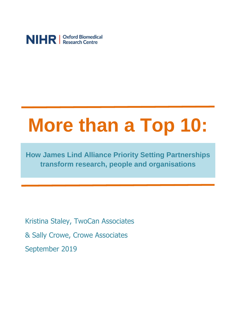

# **More than a Top 10:**

**How James Lind Alliance Priority Setting Partnerships transform research, people and organisations**

Kristina Staley, TwoCan Associates & Sally Crowe, Crowe Associates September 2019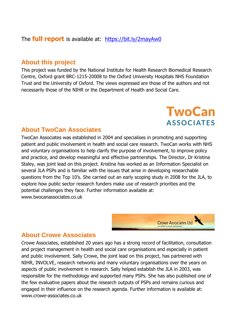#### The **full report** is available at: <https://bit.ly/2mayAw0>

#### **About this project**

This project was funded by the National Institute for Health Research Biomedical Research Centre, Oxford grant BRC-1215-20008 to the Oxford University Hospitals NHS Foundation Trust and the University of Oxford. The views expressed are those of the authors and not necessarily those of the NIHR or the Department of Health and Social Care.

## **TwoCan ASSOCIATES**

#### **About TwoCan Associates**

TwoCan Associates was established in 2004 and specialises in promoting and supporting patient and public involvement in health and social care research. TwoCan works with NHS and voluntary organisations to help clarify the purpose of involvement, to improve policy and practice, and develop meaningful and effective partnerships. The Director, Dr Kristina Staley, was joint lead on this project. Kristina has worked as an Information Specialist on several JLA PSPs and is familiar with the issues that arise in developing researchable questions from the Top 10's. She carried out an early scoping study in 2008 for the JLA, to explore how public sector research funders make use of research priorities and the potential challenges they face. Further information available at: [www.twocanassociates.co.uk](http://www.twocanassociates.co.uk/)



#### **About Crowe Associates**

Crowe Associates, established 20 years ago has a strong record of facilitation, consultation and project management in health and social care organisations and especially in patient and public involvement. Sally Crowe, the joint lead on this project, has partnered with NIHR, INVOLVE, research networks and many voluntary organisations over the years on aspects of public involvement in research. Sally helped establish the JLA in 2003, was responsible for the methodology and supported many PSPs. She has also published one of the few evaluative papers about the research outputs of PSPs and remains curious and engaged in their influence on the research agenda. Further information is available at: [www.crowe-associates.co.uk](http://www.crowe-associates.co.uk/)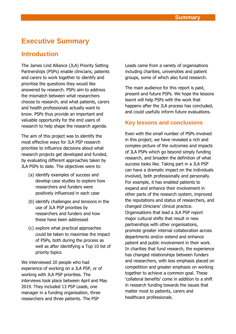### **Executive Summary**

#### **Introduction**

The [James Lind Alliance \(JLA\) Priority Setting](http://www.jla.nihr.ac.uk/)  [Partnerships \(PSPs\)](http://www.jla.nihr.ac.uk/) enable clinicians, patients and carers to work together to identify and prioritise the questions they would like answered by research. PSPs aim to address the mismatch between what researchers choose to research, and what patients, carers and health professionals actually want to know. PSPs thus provide an important and valuable opportunity for the end users of research to help shape the research agenda.

The aim of this project was to identify the most effective ways for JLA PSP research priorities to influence decisions about what research projects get developed and funded, by evaluating different approaches taken by JLA PSPs to date. The objectives were to:

- (a) identify examples of success and develop case studies to explore how researchers and funders were positively influenced in each case
- (b) identify challenges and tensions in the use of JLA PSP priorities by researchers and funders and how these have been addressed
- (c) explore what practical approaches could be taken to maximise the impact of PSPs, both during the process as well as after identifying a Top 10 list of priority topics

We interviewed 20 people who had experience of working on a JLA PSP, or of working with JLA PSP priorities. The interviews took place between April and May 2019. They included 13 PSP Leads, one manager in a funding organisation, three researchers and three patients. The PSP

Leads came from a variety of organisations including charities, universities and patient groups, some of which also fund research.

The main audience for this report is past, present and future PSPs. We hope the lessons learnt will help PSPs with the work that happens after the JLA process has concluded, and could usefully inform future evaluations.

#### **Key lessons and conclusions**

Even with the small number of PSPs involved in this project, we have revealed a rich and complex picture of the outcomes and impacts of JLA PSPs which go beyond simply funding research, and broaden the definition of what success looks like. Taking part in a JLA PSP can have a dramatic impact on the individuals involved, both professionally and personally. For example, it has enabled patients to expand and enhance their involvement in other parts of the research system, improved the reputations and status of researchers, and changed clinicians' clinical practice. Organisations that lead a JLA PSP report major cultural shifts that result in new partnerships with other organisations, promote greater internal collaboration across departments and/or extend and enhance patient and public involvement in their work. In charities that fund research, the experience has changed relationships between funders and researchers, with less emphasis placed on competition and greater emphasis on working together to achieve a common goal. These 'collateral benefits' come in addition to a shift in research funding towards the issues that matter most to patients, carers and healthcare professionals.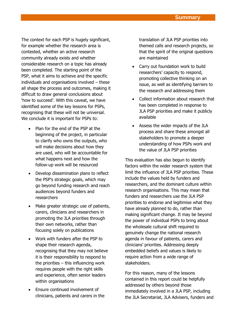The context for each PSP is hugely significant, for example whether the research area is contested, whether an active research community already exists and whether considerable research on a topic has already been completed. The starting point of the PSP, what it aims to achieve and the specific individuals and organisations involved – these all shape the process and outcomes, making it difficult to draw general conclusions about 'how to succeed'. With this caveat, we have identified some of the key lessons for PSPs, recognising that these will not be universal. We conclude it is important for PSPs to:

- Plan for the end of the PSP at the beginning of the project, in particular to clarify who owns the outputs, who will make decisions about how they are used, who will be accountable for what happens next and how the follow-up work will be resourced
- Develop dissemination plans to reflect the PSP's strategic goals, which may go beyond funding research and reach audiences beyond funders and researchers
- Make greater strategic use of patients, carers, clinicians and researchers in promoting the JLA priorities through their own networks, rather than focusing solely on publications
- Work with funders after the PSP to shape their research agenda, recognising that they may not believe it is their responsibility to respond to the priorities – this influencing work requires people with the right skills and experience, often senior leaders within organisations
- Ensure continued involvement of clinicians, patients and carers in the

translation of JLA PSP priorities into themed calls and research projects, so that the spirit of the original questions are maintained

- Carry out foundation work to build researchers' capacity to respond, promoting collective thinking on an issue, as well as identifying barriers to the research and addressing them
- Collect information about research that has been completed in response to JLA PSP priorities and make it publicly available
- Assess the wider impacts of the JLA process and share these amongst all stakeholders to promote a deeper understanding of how PSPs work and the value of JLA PSP priorities

This evaluation has also begun to identify factors within the wider research system that limit the influence of JLA PSP priorities. These include the values held by funders and researchers, and the dominant culture within research organisations. This may mean that funders and researchers use the JLA PSP priorities to endorse and legitimise what they have already planned to do, rather than making significant change. It may be beyond the power of individual PSPs to bring about the wholesale cultural shift required to genuinely change the national research agenda in favour of patients, carers and clinicians' priorities. Addressing deeply embedded beliefs and values is likely to require action from a wide range of stakeholders.

For this reason, many of the lessons contained in this report could be helpfully addressed by others beyond those immediately involved in a JLA PSP, including the JLA Secretariat, JLA Advisers, funders and